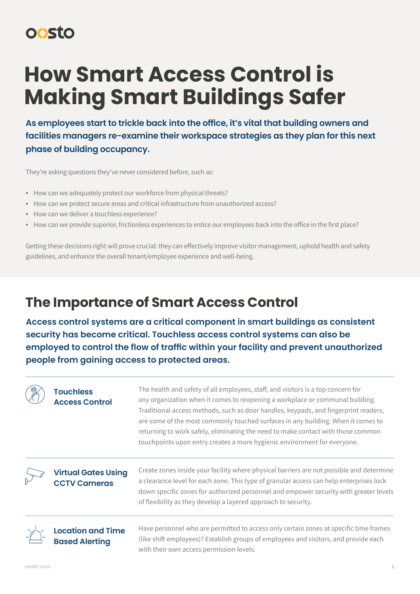

## **How Smart Access Control is Making Smart Buildings Safer**

**As employees start to trickle back into the office, it's vital that building owners and facilities managers re-examine their workspace strategies as they plan for this next phase of building occupancy.** 

They're asking questions they've never considered before, such as:

- How can we adequately protect our workforce from physical threats?
- How can we protect secure areas and critical infrastructure from unauthorized access?
- How can we deliver a touchless experience?
- How can we provide superior, frictionless experiences to entice our employees back into the office in the first place?

Getting these decisions right will prove crucial: they can effectively improve visitor management, uphold health and safety guidelines, and enhance the overall tenant/employee experience and well-being.

## **The Importance of Smart Access Control**

**Access control systems are a critical component in smart buildings as consistent security has become critical. Touchless access control systems can also be employed to control the flow of traffic within your facility and prevent unauthorized people from gaining access to protected areas.**

| <b>Touchless</b><br><b>Access Control</b>         | The health and safety of all employees, staff, and visitors is a top concern for<br>any organization when it comes to reopening a workplace or communal building.<br>Traditional access methods, such as door handles, keypads, and fingerprint readers,<br>are some of the most commonly touched surfaces in any building. When it comes to<br>returning to work safely, eliminating the need to make contact with those common<br>touchpoints upon entry creates a more hygienic environment for everyone. |
|---------------------------------------------------|--------------------------------------------------------------------------------------------------------------------------------------------------------------------------------------------------------------------------------------------------------------------------------------------------------------------------------------------------------------------------------------------------------------------------------------------------------------------------------------------------------------|
| <b>Virtual Gates Using</b><br><b>CCTV Cameras</b> | Create zones inside your facility where physical barriers are not possible and determine<br>a clearance level for each zone. This type of granular access can help enterprises lock<br>down specific zones for authorized personnel and empower security with greater levels<br>of flexibility as they develop a layered approach to security.                                                                                                                                                               |
| <b>Location and Time</b><br><b>Based Alerting</b> | Have personnel who are permitted to access only certain zones at specific time frames<br>(like shift employees)? Establish groups of employees and visitors, and provide each<br>with their own access permission levels.                                                                                                                                                                                                                                                                                    |